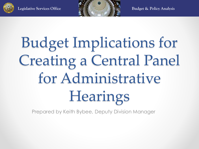



## Budget Implications for Creating a Central Panel for Administrative Hearings

Prepared by Keith Bybee, Deputy Division Manager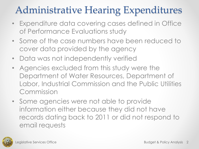### Administrative Hearing Expenditures

- Expenditure data covering cases defined in Office of Performance Evaluations study
- Some of the case numbers have been reduced to cover data provided by the agency
- Data was not independently verified
- Agencies excluded from this study were the Department of Water Resources, Department of Labor, Industrial Commission and the Public Utilities Commission
- Some agencies were not able to provide information either because they did not have records dating back to 2011 or did not respond to email requests

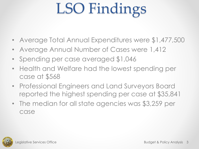## LSO Findings

- Average Total Annual Expenditures were \$1,477,500
- Average Annual Number of Cases were 1,412
- Spending per case averaged \$1,046
- Health and Welfare had the lowest spending per case at \$568
- Professional Engineers and Land Surveyors Board reported the highest spending per case at \$35,841
- The median for all state agencies was \$3,259 per case

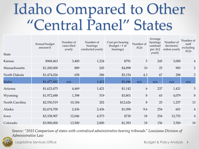### Idaho Compared to Other "Central Panel" States

| <b>State</b>   | Annual budget<br>amount \$ | Number of<br>cases filed<br>yearly | Number of<br>hearings<br>conducted yearly | Cost per hearing<br>(budget $\div$ # of<br>hearings) | Number of<br>ALJs | Average<br>hearings<br>caseload<br>per ALJ<br>yearly | Number of<br>decisions/<br>orders yearly | Number of<br>staff<br>excluding<br>ALJs |
|----------------|----------------------------|------------------------------------|-------------------------------------------|------------------------------------------------------|-------------------|------------------------------------------------------|------------------------------------------|-----------------------------------------|
| Kansas         | \$968,463                  | 3,400                              | 1,224                                     | \$791                                                | 5                 | 245                                                  | 3,000                                    | $\overline{4}$                          |
| Massachusetts  | \$1,200,000                | 889                                | 245                                       | \$4,898                                              | 10                | 25                                                   | 985                                      | $\overline{2}$                          |
| North Dakota   | \$1,474,026                | 658                                | 286                                       | \$5,154                                              | 4.3               | 67                                                   | 288                                      | $\overline{2}$                          |
| Idaho          | \$1,477,492                | n/a                                | 1,412                                     | \$1,046                                              | n/a               | n/a                                                  | n/a                                      | n/a                                     |
| Arizona        | \$1,623,475                | 4,469                              | 1,421                                     | \$1,142                                              | 6                 | 237                                                  | 1,421                                    | 5                                       |
| Wyoming        | \$1,972,688                | 1,398                              | 519                                       | \$3,801                                              | 8                 | 65                                                   | 4,079                                    | $8\phantom{1}$                          |
| North Carolina | \$2,550,519                | 10,184                             | 202                                       | \$12,626                                             | 8                 | 25                                                   | 1,257                                    | 13                                      |
| Alaska         | \$2,674,700                | 2,436                              | 2,436                                     | \$1,098                                              | 9.6               | 254                                                  | 601                                      | $\overline{4}$                          |
| Iowa           | \$3,338,907                | 12,046                             | 4,573                                     | \$730                                                | 18                | 254                                                  | 12,752                                   | $\overline{4}$                          |
| Colorado       | \$3,900,000                | 13,500                             | 2,800                                     | \$1,393                                              | 18                | 156                                                  | 3,500                                    | 18                                      |

*Source: "2015 Comparison of states with centralized administrative hearing tribunals" Louisiana Division of Administrative Law*



Legislative Services Office **Budget & Policy Analysis 4**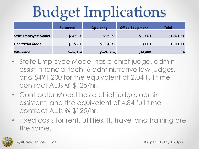## Budget Implications

|                             | <b>Personnel</b> | <b>Operating</b> | <b>Office Equipment</b> | <b>Total</b> |
|-----------------------------|------------------|------------------|-------------------------|--------------|
| <b>State Employee Model</b> | \$842,800        | \$639,200        | \$18,000                | \$1,500,000  |
| <b>Contractor Model</b>     | \$175,700        | \$1,320,300      | \$4,000                 | \$1,500,000  |
| <b>Difference</b>           | \$667,100        | (5681, 100)      | \$14,000                | \$0          |

- State Employee Model has a chief judge, admin assist, financial tech, 6 administrative law judges, and \$491,200 for the equivalent of 2.04 full time contract ALJs @ \$125/hr.
- Contractor Model has a chief judge, admin assistant, and the equivalent of 4.84 full-time contract ALJs @ \$125/hr.
- Fixed costs for rent, utilities, IT, travel and training are the same.

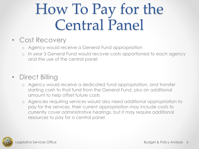### How To Pay for the Central Panel

#### • Cost Recovery

- o Agency would receive a General Fund appropriation
- o In year 3 General Fund would recover costs apportioned to each agency and the use of the central panel

#### • Direct Billing

- o Agency would receive a dedicated fund appropriation, and transfer starting cash to that fund from the General Fund, plus an additional amount to help offset future costs
- o Agencies requiring services would also need additional appropriation to pay for the services, their current appropriation may include costs to currently cover administrative hearings, but it may require additional resources to pay for a central panel

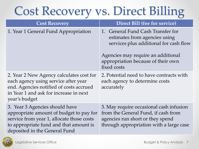### Cost Recovery vs. Direct Billing

| <b>Cost Recovery</b>                                                                                                                                                                              | Direct Bill (fee for service)                                                                                                                                                                           |
|---------------------------------------------------------------------------------------------------------------------------------------------------------------------------------------------------|---------------------------------------------------------------------------------------------------------------------------------------------------------------------------------------------------------|
| 1. Year 1 General Fund Appropriation                                                                                                                                                              | 1. General Fund Cash Transfer for<br>estimates from agencies using<br>services plus additional for cash flow<br>Agencies may require an additional<br>appropriation because of their own<br>fixed costs |
| 2. Year 2 New Agency calculates cost for<br>each agency using service after year<br>end. Agencies notified of costs accrued<br>in Year 1 and ask for increase in next<br>year's budget            | 2. Potential need to have contracts with<br>each agency to determine costs<br>accurately                                                                                                                |
| 3. Year 3 Agencies should have<br>appropriate amount of budget to pay for<br>service from year 1, allocate those costs<br>to appropriate fund and that amount is<br>deposited in the General Fund | 3. May require occasional cash infusion<br>from the General Fund, if cash from<br>agencies run short or they spend<br>through appropriation with a large case                                           |

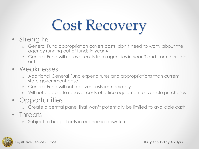# Cost Recovery

- Strengths
	- o General Fund appropriation covers costs, don't need to worry about the agency running out of funds in year 4
	- o General Fund will recover costs from agencies in year 3 and from there on out
- Weaknesses
	- o Additional General Fund expenditures and appropriations than current state government base
	- o General Fund will not recover costs immediately
	- Will not be able to recover costs of office equipment or vehicle purchases
- Opportunities
	- o Create a central panel that won't potentially be limited to available cash
- Threats
	- o Subject to budget cuts in economic downturn